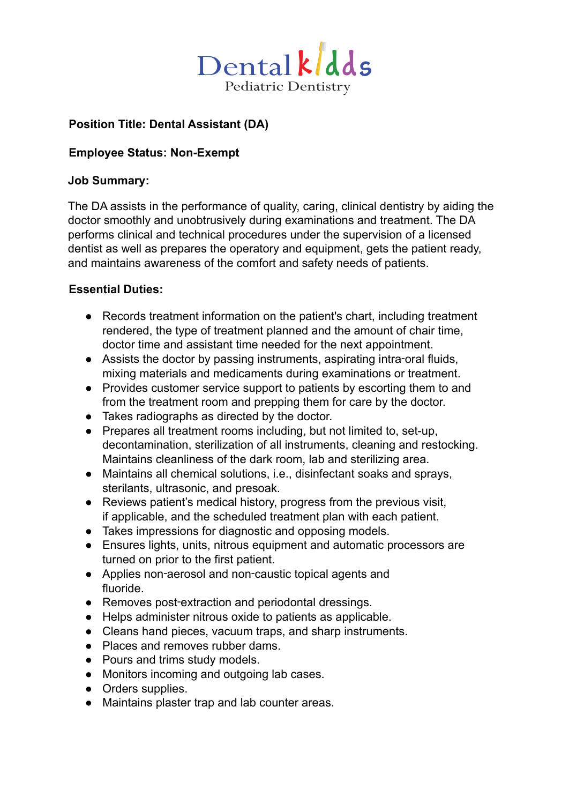

## **Position Title: Dental Assistant (DA)**

### **Employee Status: Non-Exempt**

#### **Job Summary:**

The DA assists in the performance of quality, caring, clinical dentistry by aiding the doctor smoothly and unobtrusively during examinations and treatment. The DA performs clinical and technical procedures under the supervision of a licensed dentist as well as prepares the operatory and equipment, gets the patient ready, and maintains awareness of the comfort and safety needs of patients.

### **Essential Duties:**

- Records treatment information on the patient's chart, including treatment rendered, the type of treatment planned and the amount of chair time, doctor time and assistant time needed for the next appointment.
- Assists the doctor by passing instruments, aspirating intra-oral fluids, mixing materials and medicaments during examinations or treatment.
- Provides customer service support to patients by escorting them to and from the treatment room and prepping them for care by the doctor.
- Takes radiographs as directed by the doctor.
- Prepares all treatment rooms including, but not limited to, set-up, decontamination, sterilization of all instruments, cleaning and restocking. Maintains cleanliness of the dark room, lab and sterilizing area.
- Maintains all chemical solutions, i.e., disinfectant soaks and sprays, sterilants, ultrasonic, and presoak.
- Reviews patient's medical history, progress from the previous visit, if applicable, and the scheduled treatment plan with each patient.
- Takes impressions for diagnostic and opposing models.
- Ensures lights, units, nitrous equipment and automatic processors are turned on prior to the first patient.
- Applies non-aerosol and non-caustic topical agents and fluoride.
- Removes post-extraction and periodontal dressings.
- Helps administer nitrous oxide to patients as applicable.
- Cleans hand pieces, vacuum traps, and sharp instruments.
- Places and removes rubber dams.
- Pours and trims study models.
- Monitors incoming and outgoing lab cases.
- Orders supplies.
- Maintains plaster trap and lab counter areas.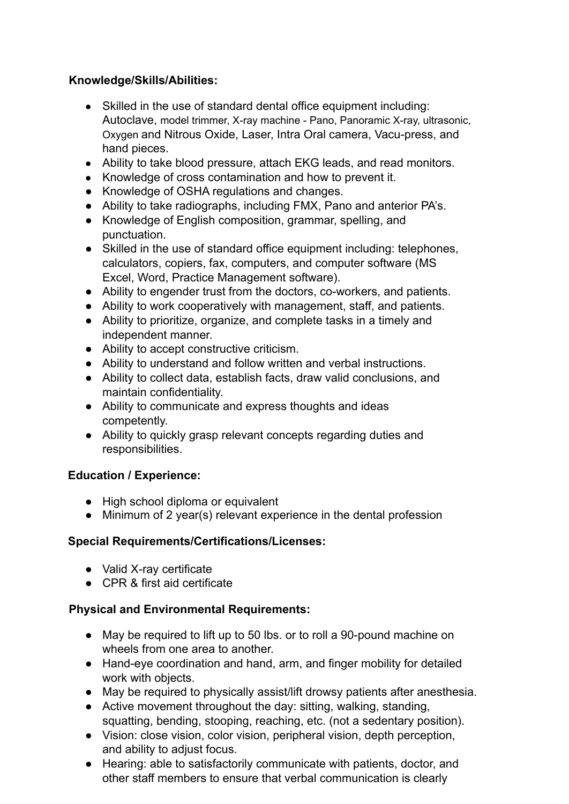## **Knowledge/Skills/Abilities:**

- Skilled in the use of standard dental office equipment including: Autoclave, model trimmer, X-ray machine - Pano, Panoramic X-ray, ultrasonic, Oxygen and Nitrous Oxide, Laser, Intra Oral camera, Vacu-press, and hand pieces.
- Ability to take blood pressure, attach EKG leads, and read monitors.
- Knowledge of cross contamination and how to prevent it.
- Knowledge of OSHA regulations and changes.
- Ability to take radiographs, including FMX, Pano and anterior PA's.
- Knowledge of English composition, grammar, spelling, and punctuation.
- Skilled in the use of standard office equipment including: telephones, calculators, copiers, fax, computers, and computer software (MS Excel, Word, Practice Management software).
- Ability to engender trust from the doctors, co-workers, and patients.
- Ability to work cooperatively with management, staff, and patients.
- Ability to prioritize, organize, and complete tasks in a timely and independent manner.
- Ability to accept constructive criticism.
- Ability to understand and follow written and verbal instructions.
- Ability to collect data, establish facts, draw valid conclusions, and maintain confidentiality.
- Ability to communicate and express thoughts and ideas competently.
- Ability to quickly grasp relevant concepts regarding duties and responsibilities.

# **Education / Experience:**

- High school diploma or equivalent
- Minimum of 2 year(s) relevant experience in the dental profession

### **Special Requirements/Certifications/Licenses:**

- Valid X-ray certificate
- CPR & first aid certificate

# **Physical and Environmental Requirements:**

- May be required to lift up to 50 lbs. or to roll a 90-pound machine on wheels from one area to another.
- Hand-eye coordination and hand, arm, and finger mobility for detailed work with objects.
- May be required to physically assist/lift drowsy patients after anesthesia.
- Active movement throughout the day: sitting, walking, standing, squatting, bending, stooping, reaching, etc. (not a sedentary position).
- Vision: close vision, color vision, peripheral vision, depth perception, and ability to adjust focus.
- Hearing: able to satisfactorily communicate with patients, doctor, and other staff members to ensure that verbal communication is clearly